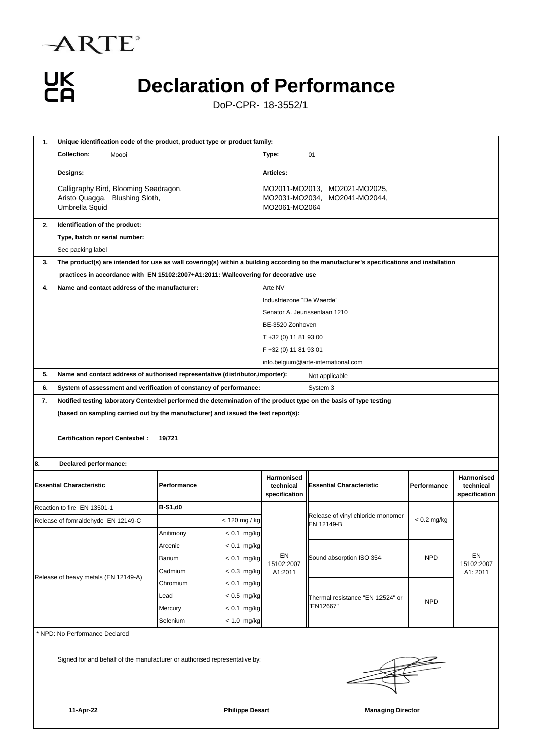



DoP-CPR- 18-3552/1

| 1.                                                                         | Unique identification code of the product, product type or product family:                |       |                                                                    |                                                                                |                                               |                                                                                                                                           |               |                                          |  |  |  |
|----------------------------------------------------------------------------|-------------------------------------------------------------------------------------------|-------|--------------------------------------------------------------------|--------------------------------------------------------------------------------|-----------------------------------------------|-------------------------------------------------------------------------------------------------------------------------------------------|---------------|------------------------------------------|--|--|--|
|                                                                            | <b>Collection:</b>                                                                        | Moooi |                                                                    |                                                                                | Type:                                         | 01                                                                                                                                        |               |                                          |  |  |  |
|                                                                            | Designs:                                                                                  |       |                                                                    | Articles:                                                                      |                                               |                                                                                                                                           |               |                                          |  |  |  |
|                                                                            | Calligraphy Bird, Blooming Seadragon,<br>Aristo Quagga, Blushing Sloth,<br>Umbrella Squid |       |                                                                    |                                                                                | MO2061-MO2064                                 | MO2011-MO2013, MO2021-MO2025,<br>MO2031-MO2034, MO2041-MO2044,                                                                            |               |                                          |  |  |  |
| 2.                                                                         | Identification of the product:                                                            |       |                                                                    |                                                                                |                                               |                                                                                                                                           |               |                                          |  |  |  |
|                                                                            | Type, batch or serial number:                                                             |       |                                                                    |                                                                                |                                               |                                                                                                                                           |               |                                          |  |  |  |
|                                                                            | See packing label                                                                         |       |                                                                    |                                                                                |                                               |                                                                                                                                           |               |                                          |  |  |  |
| 3.                                                                         |                                                                                           |       |                                                                    |                                                                                |                                               | The product(s) are intended for use as wall covering(s) within a building according to the manufacturer's specifications and installation |               |                                          |  |  |  |
|                                                                            | practices in accordance with EN 15102:2007+A1:2011: Wallcovering for decorative use       |       |                                                                    |                                                                                |                                               |                                                                                                                                           |               |                                          |  |  |  |
| 4.                                                                         | Name and contact address of the manufacturer:                                             |       |                                                                    |                                                                                | Arte NV                                       |                                                                                                                                           |               |                                          |  |  |  |
|                                                                            |                                                                                           |       |                                                                    |                                                                                | Industriezone "De Waerde"                     |                                                                                                                                           |               |                                          |  |  |  |
|                                                                            |                                                                                           |       |                                                                    |                                                                                | Senator A. Jeurissenlaan 1210                 |                                                                                                                                           |               |                                          |  |  |  |
|                                                                            |                                                                                           |       |                                                                    |                                                                                | BE-3520 Zonhoven                              |                                                                                                                                           |               |                                          |  |  |  |
|                                                                            |                                                                                           |       |                                                                    |                                                                                | T +32 (0) 11 81 93 00                         |                                                                                                                                           |               |                                          |  |  |  |
|                                                                            |                                                                                           |       |                                                                    |                                                                                | F +32 (0) 11 81 93 01                         |                                                                                                                                           |               |                                          |  |  |  |
|                                                                            |                                                                                           |       |                                                                    |                                                                                | info.belgium@arte-international.com           |                                                                                                                                           |               |                                          |  |  |  |
| 5.                                                                         |                                                                                           |       |                                                                    | Name and contact address of authorised representative (distributor, importer): |                                               | Not applicable                                                                                                                            |               |                                          |  |  |  |
| 6.                                                                         |                                                                                           |       | System of assessment and verification of constancy of performance: |                                                                                |                                               | System 3                                                                                                                                  |               |                                          |  |  |  |
| 7.                                                                         |                                                                                           |       |                                                                    |                                                                                |                                               | Notified testing laboratory Centexbel performed the determination of the product type on the basis of type testing                        |               |                                          |  |  |  |
|                                                                            | <b>Certification report Centexbel:</b>                                                    |       | 19/721                                                             |                                                                                |                                               |                                                                                                                                           |               |                                          |  |  |  |
| 8.                                                                         | Declared performance:                                                                     |       |                                                                    |                                                                                |                                               |                                                                                                                                           |               |                                          |  |  |  |
|                                                                            | <b>Essential Characteristic</b>                                                           |       | Performance                                                        |                                                                                | Harmonised<br>technical<br>specification      | <b>Essential Characteristic</b>                                                                                                           | Performance   | Harmonised<br>technical<br>specification |  |  |  |
|                                                                            | Reaction to fire EN 13501-1                                                               |       | <b>B-S1,d0</b>                                                     |                                                                                |                                               |                                                                                                                                           |               |                                          |  |  |  |
|                                                                            | Release of formaldehyde EN 12149-C                                                        |       |                                                                    | < 120 mg / kg                                                                  |                                               | Release of vinyl chloride monomer<br>EN 12149-B                                                                                           | $< 0.2$ mg/kg |                                          |  |  |  |
|                                                                            |                                                                                           |       | Anitimony                                                          | < 0.1 mg/kg                                                                    |                                               |                                                                                                                                           |               |                                          |  |  |  |
|                                                                            |                                                                                           |       | Arcenic                                                            | $< 0.1$ mg/kg                                                                  | EN<br>15102:2007<br>A1:2011                   | Sound absorption ISO 354                                                                                                                  | <b>NPD</b>    |                                          |  |  |  |
| Release of heavy metals (EN 12149-A)                                       |                                                                                           |       | Barium                                                             | $< 0.1$ mg/kg                                                                  |                                               |                                                                                                                                           |               | EN<br>15102:2007<br>A1: 2011             |  |  |  |
|                                                                            |                                                                                           |       | Cadmium                                                            | $< 0.3$ mg/kg                                                                  |                                               |                                                                                                                                           |               |                                          |  |  |  |
|                                                                            |                                                                                           |       | Chromium                                                           | $< 0.1$ mg/kg                                                                  |                                               |                                                                                                                                           |               |                                          |  |  |  |
|                                                                            |                                                                                           | Lead  | $< 0.5$ mg/kg                                                      |                                                                                | Thermal resistance "EN 12524" or<br>'EN12667" | <b>NPD</b>                                                                                                                                |               |                                          |  |  |  |
| Mercury<br>Selenium                                                        |                                                                                           |       |                                                                    |                                                                                |                                               |                                                                                                                                           |               | $< 0.1$ mg/kg                            |  |  |  |
|                                                                            |                                                                                           |       | $< 1.0$ mg/kg                                                      |                                                                                |                                               |                                                                                                                                           |               |                                          |  |  |  |
|                                                                            | * NPD: No Performance Declared                                                            |       |                                                                    |                                                                                |                                               |                                                                                                                                           |               |                                          |  |  |  |
| Signed for and behalf of the manufacturer or authorised representative by: |                                                                                           |       |                                                                    |                                                                                |                                               |                                                                                                                                           |               |                                          |  |  |  |

**11-Apr-22 Philippe Desart Managing Director**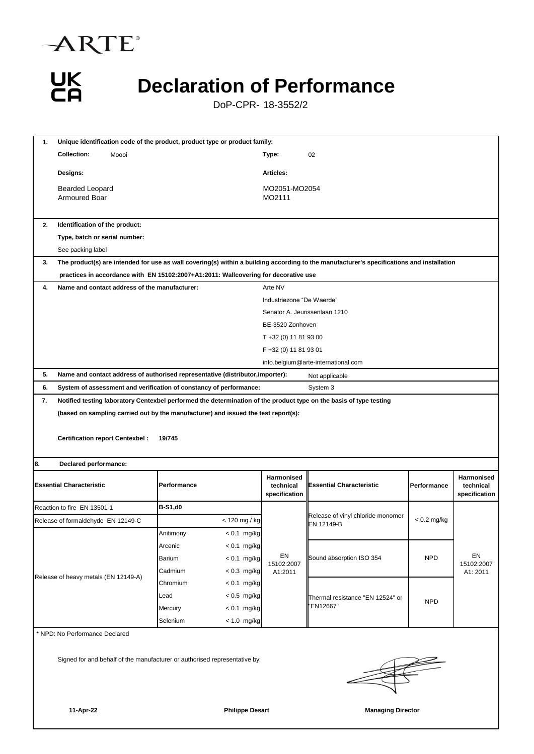



DoP-CPR- 18-3552/2

| 1.                                   | Unique identification code of the product, product type or product family:                                                                |                |               |                                          |                                                 |               |                                          |  |  |  |  |
|--------------------------------------|-------------------------------------------------------------------------------------------------------------------------------------------|----------------|---------------|------------------------------------------|-------------------------------------------------|---------------|------------------------------------------|--|--|--|--|
|                                      | <b>Collection:</b><br>Moooi                                                                                                               |                |               | Type:                                    | 02                                              |               |                                          |  |  |  |  |
|                                      | Designs:                                                                                                                                  |                |               | Articles:                                |                                                 |               |                                          |  |  |  |  |
|                                      | <b>Bearded Leopard</b><br>Armoured Boar                                                                                                   |                |               | MO2051-MO2054<br>MO2111                  |                                                 |               |                                          |  |  |  |  |
| 2.                                   | Identification of the product:                                                                                                            |                |               |                                          |                                                 |               |                                          |  |  |  |  |
|                                      | Type, batch or serial number:                                                                                                             |                |               |                                          |                                                 |               |                                          |  |  |  |  |
|                                      | See packing label                                                                                                                         |                |               |                                          |                                                 |               |                                          |  |  |  |  |
| 3.                                   | The product(s) are intended for use as wall covering(s) within a building according to the manufacturer's specifications and installation |                |               |                                          |                                                 |               |                                          |  |  |  |  |
|                                      | practices in accordance with EN 15102:2007+A1:2011: Wallcovering for decorative use                                                       |                |               |                                          |                                                 |               |                                          |  |  |  |  |
| 4.                                   | Name and contact address of the manufacturer:                                                                                             |                |               | Arte NV                                  |                                                 |               |                                          |  |  |  |  |
|                                      |                                                                                                                                           |                |               | Industriezone "De Waerde"                |                                                 |               |                                          |  |  |  |  |
|                                      |                                                                                                                                           |                |               | Senator A. Jeurissenlaan 1210            |                                                 |               |                                          |  |  |  |  |
|                                      |                                                                                                                                           |                |               | BE-3520 Zonhoven                         |                                                 |               |                                          |  |  |  |  |
|                                      |                                                                                                                                           |                |               | T +32 (0) 11 81 93 00                    |                                                 |               |                                          |  |  |  |  |
|                                      |                                                                                                                                           |                |               | F +32 (0) 11 81 93 01                    |                                                 |               |                                          |  |  |  |  |
|                                      |                                                                                                                                           |                |               | info.belgium@arte-international.com      |                                                 |               |                                          |  |  |  |  |
| 5.                                   | Name and contact address of authorised representative (distributor, importer):                                                            |                |               |                                          | Not applicable                                  |               |                                          |  |  |  |  |
| 6.                                   | System of assessment and verification of constancy of performance:                                                                        |                |               |                                          | System 3                                        |               |                                          |  |  |  |  |
| 7.                                   | Notified testing laboratory Centexbel performed the determination of the product type on the basis of type testing                        |                |               |                                          |                                                 |               |                                          |  |  |  |  |
|                                      | (based on sampling carried out by the manufacturer) and issued the test report(s):<br><b>Certification report Centexbel:</b><br>19/745    |                |               |                                          |                                                 |               |                                          |  |  |  |  |
| 8.                                   | Declared performance:                                                                                                                     |                |               |                                          |                                                 |               |                                          |  |  |  |  |
|                                      | <b>Essential Characteristic</b>                                                                                                           | Performance    |               | Harmonised<br>technical<br>specification | <b>Essential Characteristic</b>                 | Performance   | Harmonised<br>technical<br>specification |  |  |  |  |
|                                      | Reaction to fire EN 13501-1                                                                                                               | <b>B-S1,d0</b> |               |                                          |                                                 |               |                                          |  |  |  |  |
|                                      | Release of formaldehyde EN 12149-C                                                                                                        |                | < 120 mg / kg |                                          | Release of vinyl chloride monomer<br>EN 12149-B | $< 0.2$ mg/kg |                                          |  |  |  |  |
|                                      |                                                                                                                                           | Anitimony      | $< 0.1$ mg/kg | EN<br>15102:2007                         |                                                 |               |                                          |  |  |  |  |
|                                      |                                                                                                                                           | Arcenic        | $< 0.1$ mg/kg |                                          | Sound absorption ISO 354                        | <b>NPD</b>    |                                          |  |  |  |  |
|                                      |                                                                                                                                           | Barium         | $< 0.1$ mg/kg |                                          |                                                 |               | EN<br>15102:2007                         |  |  |  |  |
| Release of heavy metals (EN 12149-A) |                                                                                                                                           | Cadmium        | $< 0.3$ mg/kg | A1:2011                                  |                                                 |               | A1: 2011                                 |  |  |  |  |
|                                      |                                                                                                                                           | Chromium       | $< 0.1$ mg/kg |                                          | Thermal resistance "EN 12524" or<br>EN12667"    | <b>NPD</b>    |                                          |  |  |  |  |
|                                      |                                                                                                                                           | Lead           | $< 0.5$ mg/kg |                                          |                                                 |               |                                          |  |  |  |  |
|                                      |                                                                                                                                           | Mercury        | $< 0.1$ mg/kg |                                          |                                                 |               |                                          |  |  |  |  |
|                                      |                                                                                                                                           | Selenium       | $< 1.0$ mg/kg |                                          |                                                 |               |                                          |  |  |  |  |
|                                      | * NPD: No Performance Declared                                                                                                            |                |               |                                          |                                                 |               |                                          |  |  |  |  |
|                                      | Signed for and behalf of the manufacturer or authorised representative by:                                                                |                |               |                                          |                                                 |               |                                          |  |  |  |  |

**11-Apr-22 Philippe Desart Managing Director**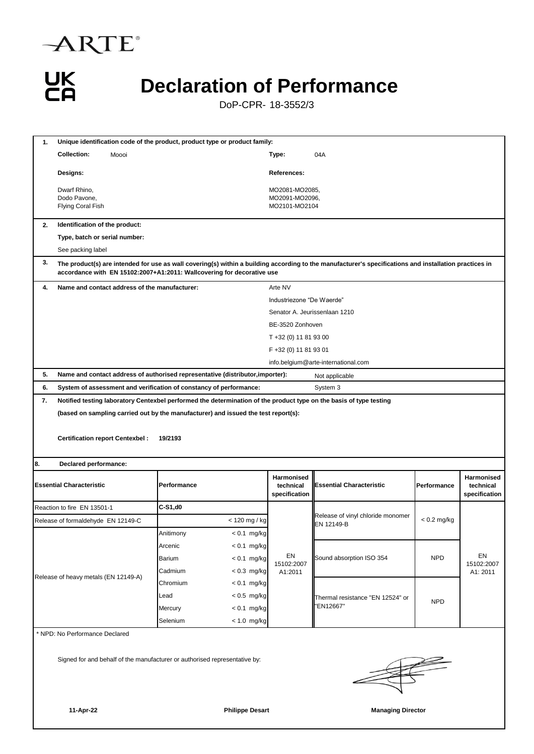



DoP-CPR- 18-3552/3

| 1.                                   | Unique identification code of the product, product type or product family:                                                                                                                                                       |          |                                                                    |                                                                                |                                                   |                                                                                                                    |               |                                          |  |  |  |
|--------------------------------------|----------------------------------------------------------------------------------------------------------------------------------------------------------------------------------------------------------------------------------|----------|--------------------------------------------------------------------|--------------------------------------------------------------------------------|---------------------------------------------------|--------------------------------------------------------------------------------------------------------------------|---------------|------------------------------------------|--|--|--|
|                                      | <b>Collection:</b>                                                                                                                                                                                                               | Moooi    |                                                                    |                                                                                | Type:                                             | 04A                                                                                                                |               |                                          |  |  |  |
|                                      | Designs:                                                                                                                                                                                                                         |          |                                                                    |                                                                                | <b>References:</b>                                |                                                                                                                    |               |                                          |  |  |  |
|                                      | Dwarf Rhino,<br>Dodo Pavone,<br>Flying Coral Fish                                                                                                                                                                                |          |                                                                    |                                                                                | MO2081-MO2085,<br>MO2091-MO2096,<br>MO2101-MO2104 |                                                                                                                    |               |                                          |  |  |  |
| 2.                                   | Identification of the product:                                                                                                                                                                                                   |          |                                                                    |                                                                                |                                                   |                                                                                                                    |               |                                          |  |  |  |
|                                      | Type, batch or serial number:                                                                                                                                                                                                    |          |                                                                    |                                                                                |                                                   |                                                                                                                    |               |                                          |  |  |  |
|                                      | See packing label                                                                                                                                                                                                                |          |                                                                    |                                                                                |                                                   |                                                                                                                    |               |                                          |  |  |  |
| 3.                                   | The product(s) are intended for use as wall covering(s) within a building according to the manufacturer's specifications and installation practices in<br>accordance with EN 15102:2007+A1:2011: Wallcovering for decorative use |          |                                                                    |                                                                                |                                                   |                                                                                                                    |               |                                          |  |  |  |
| 4.                                   | Name and contact address of the manufacturer:                                                                                                                                                                                    |          |                                                                    |                                                                                | Arte NV                                           |                                                                                                                    |               |                                          |  |  |  |
|                                      |                                                                                                                                                                                                                                  |          |                                                                    |                                                                                | Industriezone "De Waerde"                         |                                                                                                                    |               |                                          |  |  |  |
|                                      |                                                                                                                                                                                                                                  |          |                                                                    |                                                                                | Senator A. Jeurissenlaan 1210                     |                                                                                                                    |               |                                          |  |  |  |
|                                      |                                                                                                                                                                                                                                  |          |                                                                    |                                                                                | BE-3520 Zonhoven                                  |                                                                                                                    |               |                                          |  |  |  |
|                                      |                                                                                                                                                                                                                                  |          |                                                                    |                                                                                | T +32 (0) 11 81 93 00                             |                                                                                                                    |               |                                          |  |  |  |
|                                      |                                                                                                                                                                                                                                  |          |                                                                    |                                                                                | F +32 (0) 11 81 93 01                             |                                                                                                                    |               |                                          |  |  |  |
|                                      |                                                                                                                                                                                                                                  |          |                                                                    |                                                                                |                                                   | info.belgium@arte-international.com                                                                                |               |                                          |  |  |  |
| 5.                                   |                                                                                                                                                                                                                                  |          |                                                                    | Name and contact address of authorised representative (distributor, importer): | Not applicable                                    |                                                                                                                    |               |                                          |  |  |  |
| 6.                                   |                                                                                                                                                                                                                                  |          | System of assessment and verification of constancy of performance: |                                                                                |                                                   | System 3                                                                                                           |               |                                          |  |  |  |
| 7.                                   |                                                                                                                                                                                                                                  |          |                                                                    |                                                                                |                                                   | Notified testing laboratory Centexbel performed the determination of the product type on the basis of type testing |               |                                          |  |  |  |
|                                      | (based on sampling carried out by the manufacturer) and issued the test report(s):<br><b>Certification report Centexbel:</b><br>19/2193                                                                                          |          |                                                                    |                                                                                |                                                   |                                                                                                                    |               |                                          |  |  |  |
| 8.                                   | Declared performance:                                                                                                                                                                                                            |          |                                                                    |                                                                                |                                                   |                                                                                                                    |               |                                          |  |  |  |
|                                      | <b>Essential Characteristic</b>                                                                                                                                                                                                  |          | Performance                                                        |                                                                                | Harmonised<br>technical<br>specification          | <b>Essential Characteristic</b>                                                                                    | Performance   | Harmonised<br>technical<br>specification |  |  |  |
| Reaction to fire EN 13501-1          |                                                                                                                                                                                                                                  |          | C-S1,d0                                                            |                                                                                |                                                   |                                                                                                                    |               |                                          |  |  |  |
|                                      | Release of formaldehyde EN 12149-C                                                                                                                                                                                               |          |                                                                    | < 120 mg / kg                                                                  |                                                   | Release of vinyl chloride monomer<br>EN 12149-B                                                                    | $< 0.2$ mg/kg |                                          |  |  |  |
|                                      |                                                                                                                                                                                                                                  |          | Anitimony                                                          | $< 0.1$ mg/kg                                                                  |                                                   |                                                                                                                    |               |                                          |  |  |  |
| Release of heavy metals (EN 12149-A) |                                                                                                                                                                                                                                  |          | Arcenic                                                            | $< 0.1$ mg/kg                                                                  |                                                   | Sound absorption ISO 354                                                                                           | <b>NPD</b>    | EN<br>15102:2007<br>A1: 2011             |  |  |  |
|                                      |                                                                                                                                                                                                                                  |          | Barium                                                             | $< 0.1$ mg/kg                                                                  | EN<br>15102:2007                                  |                                                                                                                    |               |                                          |  |  |  |
|                                      |                                                                                                                                                                                                                                  |          | Cadmium                                                            | $< 0.3$ mg/kg                                                                  | A1:2011                                           |                                                                                                                    |               |                                          |  |  |  |
|                                      |                                                                                                                                                                                                                                  |          | Chromium                                                           | $< 0.1$ mg/kg                                                                  |                                                   |                                                                                                                    |               |                                          |  |  |  |
|                                      |                                                                                                                                                                                                                                  | Lead     | $< 0.5$ mg/kg                                                      |                                                                                | Thermal resistance "EN 12524" or                  | <b>NPD</b>                                                                                                         |               |                                          |  |  |  |
|                                      |                                                                                                                                                                                                                                  |          | Mercury                                                            | $< 0.1$ mg/kg                                                                  |                                                   | 'EN12667"                                                                                                          |               |                                          |  |  |  |
|                                      |                                                                                                                                                                                                                                  | Selenium | $< 1.0$ mg/kg                                                      |                                                                                |                                                   |                                                                                                                    |               |                                          |  |  |  |
| * NPD: No Performance Declared       |                                                                                                                                                                                                                                  |          |                                                                    |                                                                                |                                                   |                                                                                                                    |               |                                          |  |  |  |
|                                      | Signed for and behalf of the manufacturer or authorised representative by:                                                                                                                                                       |          |                                                                    |                                                                                |                                                   |                                                                                                                    |               |                                          |  |  |  |
|                                      | 11-Apr-22                                                                                                                                                                                                                        |          |                                                                    | <b>Philippe Desart</b>                                                         |                                                   | <b>Managing Director</b>                                                                                           |               |                                          |  |  |  |